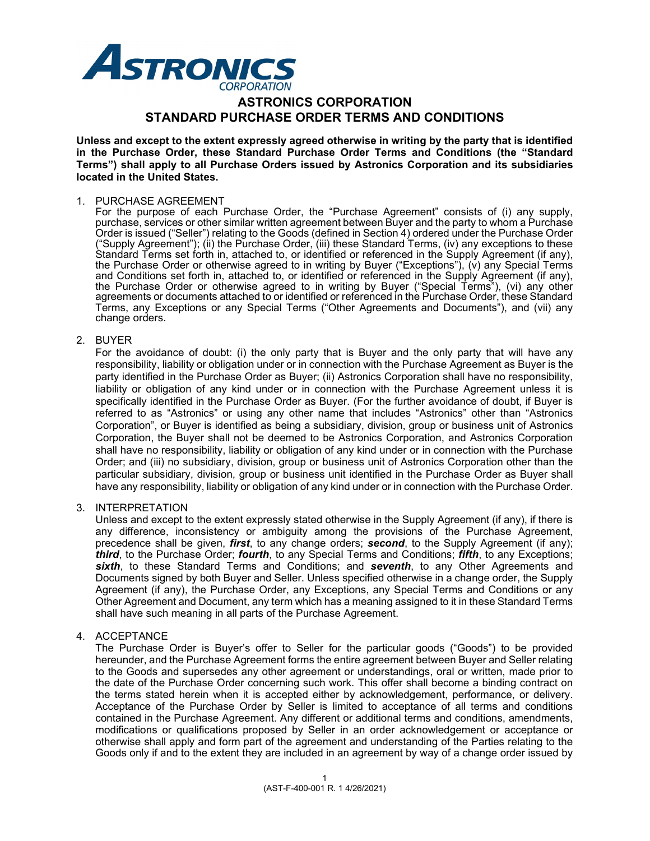

# **ASTRONICS CORPORATION STANDARD PURCHASE ORDER TERMS AND CONDITIONS**

**Unless and except to the extent expressly agreed otherwise in writing by the party that is identified in the Purchase Order, these Standard Purchase Order Terms and Conditions (the "Standard Terms") shall apply to all Purchase Orders issued by Astronics Corporation and its subsidiaries located in the United States.**

### 1. PURCHASE AGREEMENT

For the purpose of each Purchase Order, the "Purchase Agreement" consists of (i) any supply, purchase, services or other similar written agreement between Buyer and the party to whom a Purchase Order is issued ("Seller") relating to the Goods (defined in Section 4) ordered under the Purchase Order ("Supply Agreement"); (ii) the Purchase Order, (iii) these Standard Terms, (iv) any exceptions to these Standard Terms set forth in, attached to, or identified or referenced in the Supply Agreement (if any), the Purchase Order or otherwise agreed to in writing by Buyer ("Exceptions"), (v) any Special Terms and Conditions set forth in, attached to, or identified or referenced in the Supply Agreement (if any), the Purchase Order or otherwise agreed to in writing by Buyer ("Special Terms"), (vi) any other agreements or documents attached to or identified or referenced in the Purchase Order, these Standard Terms, any Exceptions or any Special Terms ("Other Agreements and Documents"), and (vii) any change orders.

### 2. BUYER

For the avoidance of doubt: (i) the only party that is Buyer and the only party that will have any responsibility, liability or obligation under or in connection with the Purchase Agreement as Buyer is the party identified in the Purchase Order as Buyer; (ii) Astronics Corporation shall have no responsibility, liability or obligation of any kind under or in connection with the Purchase Agreement unless it is specifically identified in the Purchase Order as Buyer. (For the further avoidance of doubt, if Buyer is referred to as "Astronics" or using any other name that includes "Astronics" other than "Astronics Corporation", or Buyer is identified as being a subsidiary, division, group or business unit of Astronics Corporation, the Buyer shall not be deemed to be Astronics Corporation, and Astronics Corporation shall have no responsibility, liability or obligation of any kind under or in connection with the Purchase Order; and (iii) no subsidiary, division, group or business unit of Astronics Corporation other than the particular subsidiary, division, group or business unit identified in the Purchase Order as Buyer shall have any responsibility, liability or obligation of any kind under or in connection with the Purchase Order.

## 3. INTERPRETATION

Unless and except to the extent expressly stated otherwise in the Supply Agreement (if any), if there is any difference, inconsistency or ambiguity among the provisions of the Purchase Agreement, precedence shall be given, *first*, to any change orders; *second*, to the Supply Agreement (if any); *third*, to the Purchase Order; *fourth*, to any Special Terms and Conditions; *fifth*, to any Exceptions; *sixth*, to these Standard Terms and Conditions; and *seventh*, to any Other Agreements and Documents signed by both Buyer and Seller. Unless specified otherwise in a change order, the Supply Agreement (if any), the Purchase Order, any Exceptions, any Special Terms and Conditions or any Other Agreement and Document, any term which has a meaning assigned to it in these Standard Terms shall have such meaning in all parts of the Purchase Agreement.

#### 4. ACCEPTANCE

The Purchase Order is Buyer's offer to Seller for the particular goods ("Goods") to be provided hereunder, and the Purchase Agreement forms the entire agreement between Buyer and Seller relating to the Goods and supersedes any other agreement or understandings, oral or written, made prior to the date of the Purchase Order concerning such work. This offer shall become a binding contract on the terms stated herein when it is accepted either by acknowledgement, performance, or delivery. Acceptance of the Purchase Order by Seller is limited to acceptance of all terms and conditions contained in the Purchase Agreement. Any different or additional terms and conditions, amendments, modifications or qualifications proposed by Seller in an order acknowledgement or acceptance or otherwise shall apply and form part of the agreement and understanding of the Parties relating to the Goods only if and to the extent they are included in an agreement by way of a change order issued by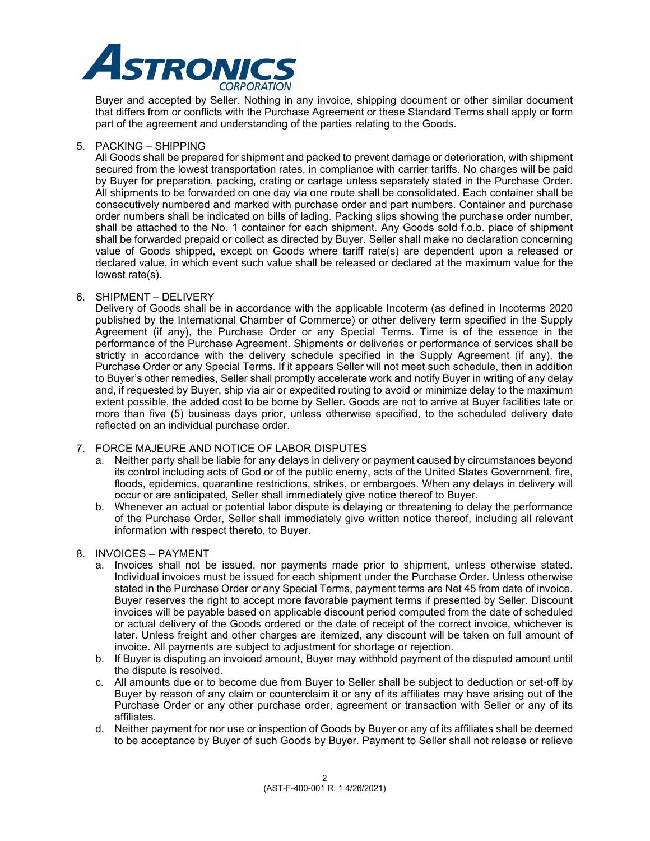

Buyer and accepted by Seller. Nothing in any invoice, shipping document or other similar document that differs from or conflicts with the Purchase Agreement or these Standard Terms shall apply or form part of the agreement and understanding of the parties relating to the Goods.

## 5. PACKING – SHIPPING

All Goods shall be prepared for shipment and packed to prevent damage or deterioration, with shipment secured from the lowest transportation rates, in compliance with carrier tariffs. No charges will be paid by Buyer for preparation, packing, crating or cartage unless separately stated in the Purchase Order. All shipments to be forwarded on one day via one route shall be consolidated. Each container shall be consecutively numbered and marked with purchase order and part numbers. Container and purchase order numbers shall be indicated on bills of lading. Packing slips showing the purchase order number, shall be attached to the No. 1 container for each shipment. Any Goods sold f.o.b. place of shipment shall be forwarded prepaid or collect as directed by Buyer. Seller shall make no declaration concerning value of Goods shipped, except on Goods where tariff rate(s) are dependent upon a released or declared value, in which event such value shall be released or declared at the maximum value for the lowest rate(s).

### 6. SHIPMENT – DELIVERY

Delivery of Goods shall be in accordance with the applicable Incoterm (as defined in Incoterms 2020 published by the International Chamber of Commerce) or other delivery term specified in the Supply Agreement (if any), the Purchase Order or any Special Terms. Time is of the essence in the performance of the Purchase Agreement. Shipments or deliveries or performance of services shall be strictly in accordance with the delivery schedule specified in the Supply Agreement (if any), the Purchase Order or any Special Terms. If it appears Seller will not meet such schedule, then in addition to Buyer's other remedies, Seller shall promptly accelerate work and notify Buyer in writing of any delay and, if requested by Buyer, ship via air or expedited routing to avoid or minimize delay to the maximum extent possible, the added cost to be borne by Seller. Goods are not to arrive at Buyer facilities late or more than five (5) business days prior, unless otherwise specified, to the scheduled delivery date reflected on an individual purchase order.

## 7. FORCE MAJEURE AND NOTICE OF LABOR DISPUTES

- a. Neither party shall be liable for any delays in delivery or payment caused by circumstances beyond its control including acts of God or of the public enemy, acts of the United States Government, fire, floods, epidemics, quarantine restrictions, strikes, or embargoes. When any delays in delivery will occur or are anticipated, Seller shall immediately give notice thereof to Buyer.
- b. Whenever an actual or potential labor dispute is delaying or threatening to delay the performance of the Purchase Order, Seller shall immediately give written notice thereof, including all relevant information with respect thereto, to Buyer.

## 8. INVOICES – PAYMENT

- a. Invoices shall not be issued, nor payments made prior to shipment, unless otherwise stated. Individual invoices must be issued for each shipment under the Purchase Order. Unless otherwise stated in the Purchase Order or any Special Terms, payment terms are Net 45 from date of invoice. Buyer reserves the right to accept more favorable payment terms if presented by Seller. Discount invoices will be payable based on applicable discount period computed from the date of scheduled or actual delivery of the Goods ordered or the date of receipt of the correct invoice, whichever is later. Unless freight and other charges are itemized, any discount will be taken on full amount of invoice. All payments are subject to adjustment for shortage or rejection.
- b. If Buyer is disputing an invoiced amount, Buyer may withhold payment of the disputed amount until the dispute is resolved.
- c. All amounts due or to become due from Buyer to Seller shall be subject to deduction or set-off by Buyer by reason of any claim or counterclaim it or any of its affiliates may have arising out of the Purchase Order or any other purchase order, agreement or transaction with Seller or any of its affiliates.
- d. Neither payment for nor use or inspection of Goods by Buyer or any of its affiliates shall be deemed to be acceptance by Buyer of such Goods by Buyer. Payment to Seller shall not release or relieve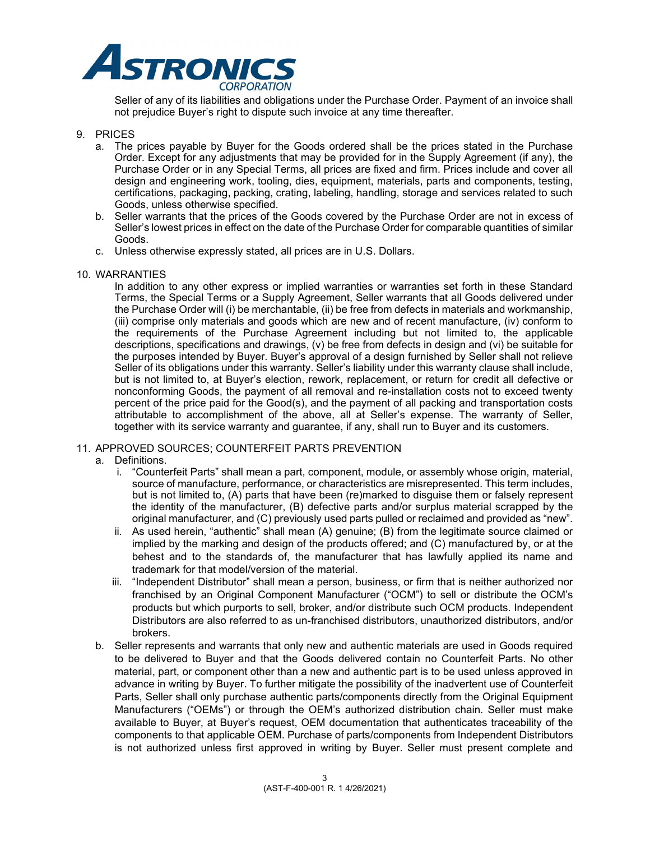

Seller of any of its liabilities and obligations under the Purchase Order. Payment of an invoice shall not prejudice Buyer's right to dispute such invoice at any time thereafter.

## 9. PRICES

- a. The prices payable by Buyer for the Goods ordered shall be the prices stated in the Purchase Order. Except for any adjustments that may be provided for in the Supply Agreement (if any), the Purchase Order or in any Special Terms, all prices are fixed and firm. Prices include and cover all design and engineering work, tooling, dies, equipment, materials, parts and components, testing, certifications, packaging, packing, crating, labeling, handling, storage and services related to such Goods, unless otherwise specified.
- b. Seller warrants that the prices of the Goods covered by the Purchase Order are not in excess of Seller's lowest prices in effect on the date of the Purchase Order for comparable quantities of similar Goods.
- c. Unless otherwise expressly stated, all prices are in U.S. Dollars.
- 10. WARRANTIES

In addition to any other express or implied warranties or warranties set forth in these Standard Terms, the Special Terms or a Supply Agreement, Seller warrants that all Goods delivered under the Purchase Order will (i) be merchantable, (ii) be free from defects in materials and workmanship, (iii) comprise only materials and goods which are new and of recent manufacture, (iv) conform to the requirements of the Purchase Agreement including but not limited to, the applicable descriptions, specifications and drawings, (v) be free from defects in design and (vi) be suitable for the purposes intended by Buyer. Buyer's approval of a design furnished by Seller shall not relieve Seller of its obligations under this warranty. Seller's liability under this warranty clause shall include, but is not limited to, at Buyer's election, rework, replacement, or return for credit all defective or nonconforming Goods, the payment of all removal and re-installation costs not to exceed twenty percent of the price paid for the Good(s), and the payment of all packing and transportation costs attributable to accomplishment of the above, all at Seller's expense. The warranty of Seller, together with its service warranty and guarantee, if any, shall run to Buyer and its customers.

## 11. APPROVED SOURCES; COUNTERFEIT PARTS PREVENTION

- a. Definitions.
	- i. "Counterfeit Parts" shall mean a part, component, module, or assembly whose origin, material, source of manufacture, performance, or characteristics are misrepresented. This term includes, but is not limited to, (A) parts that have been (re)marked to disguise them or falsely represent the identity of the manufacturer, (B) defective parts and/or surplus material scrapped by the original manufacturer, and (C) previously used parts pulled or reclaimed and provided as "new".
	- ii. As used herein, "authentic" shall mean (A) genuine; (B) from the legitimate source claimed or implied by the marking and design of the products offered; and (C) manufactured by, or at the behest and to the standards of, the manufacturer that has lawfully applied its name and trademark for that model/version of the material.
	- iii. "Independent Distributor" shall mean a person, business, or firm that is neither authorized nor franchised by an Original Component Manufacturer ("OCM") to sell or distribute the OCM's products but which purports to sell, broker, and/or distribute such OCM products. Independent Distributors are also referred to as un-franchised distributors, unauthorized distributors, and/or brokers.
- b. Seller represents and warrants that only new and authentic materials are used in Goods required to be delivered to Buyer and that the Goods delivered contain no Counterfeit Parts. No other material, part, or component other than a new and authentic part is to be used unless approved in advance in writing by Buyer. To further mitigate the possibility of the inadvertent use of Counterfeit Parts, Seller shall only purchase authentic parts/components directly from the Original Equipment Manufacturers ("OEMs") or through the OEM's authorized distribution chain. Seller must make available to Buyer, at Buyer's request, OEM documentation that authenticates traceability of the components to that applicable OEM. Purchase of parts/components from Independent Distributors is not authorized unless first approved in writing by Buyer. Seller must present complete and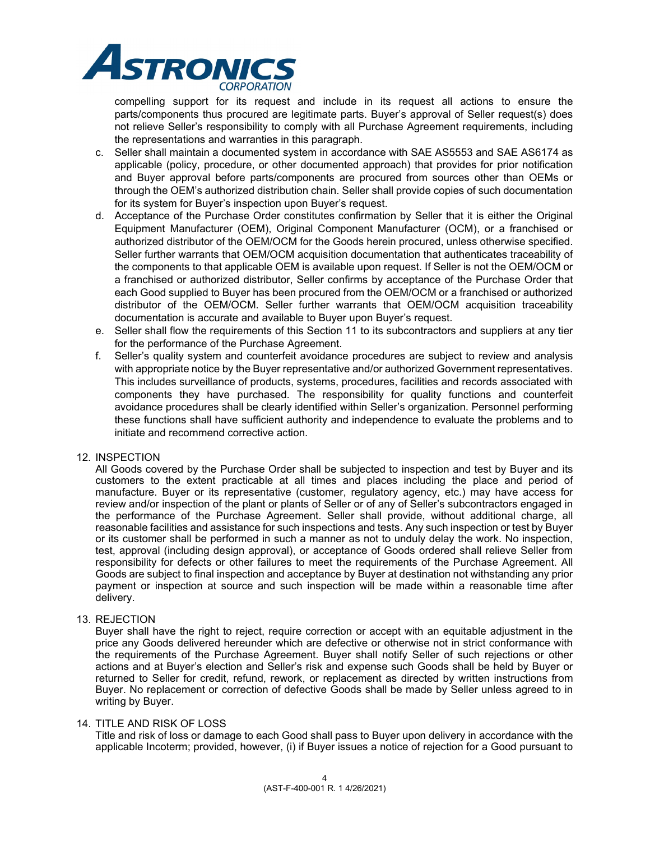

compelling support for its request and include in its request all actions to ensure the parts/components thus procured are legitimate parts. Buyer's approval of Seller request(s) does not relieve Seller's responsibility to comply with all Purchase Agreement requirements, including the representations and warranties in this paragraph.

- c. Seller shall maintain a documented system in accordance with SAE AS5553 and SAE AS6174 as applicable (policy, procedure, or other documented approach) that provides for prior notification and Buyer approval before parts/components are procured from sources other than OEMs or through the OEM's authorized distribution chain. Seller shall provide copies of such documentation for its system for Buyer's inspection upon Buyer's request.
- d. Acceptance of the Purchase Order constitutes confirmation by Seller that it is either the Original Equipment Manufacturer (OEM), Original Component Manufacturer (OCM), or a franchised or authorized distributor of the OEM/OCM for the Goods herein procured, unless otherwise specified. Seller further warrants that OEM/OCM acquisition documentation that authenticates traceability of the components to that applicable OEM is available upon request. If Seller is not the OEM/OCM or a franchised or authorized distributor, Seller confirms by acceptance of the Purchase Order that each Good supplied to Buyer has been procured from the OEM/OCM or a franchised or authorized distributor of the OEM/OCM. Seller further warrants that OEM/OCM acquisition traceability documentation is accurate and available to Buyer upon Buyer's request.
- e. Seller shall flow the requirements of this Section 11 to its subcontractors and suppliers at any tier for the performance of the Purchase Agreement.
- f. Seller's quality system and counterfeit avoidance procedures are subject to review and analysis with appropriate notice by the Buyer representative and/or authorized Government representatives. This includes surveillance of products, systems, procedures, facilities and records associated with components they have purchased. The responsibility for quality functions and counterfeit avoidance procedures shall be clearly identified within Seller's organization. Personnel performing these functions shall have sufficient authority and independence to evaluate the problems and to initiate and recommend corrective action.

## 12. INSPECTION

All Goods covered by the Purchase Order shall be subjected to inspection and test by Buyer and its customers to the extent practicable at all times and places including the place and period of manufacture. Buyer or its representative (customer, regulatory agency, etc.) may have access for review and/or inspection of the plant or plants of Seller or of any of Seller's subcontractors engaged in the performance of the Purchase Agreement. Seller shall provide, without additional charge, all reasonable facilities and assistance for such inspections and tests. Any such inspection or test by Buyer or its customer shall be performed in such a manner as not to unduly delay the work. No inspection, test, approval (including design approval), or acceptance of Goods ordered shall relieve Seller from responsibility for defects or other failures to meet the requirements of the Purchase Agreement. All Goods are subject to final inspection and acceptance by Buyer at destination not withstanding any prior payment or inspection at source and such inspection will be made within a reasonable time after delivery.

## 13. REJECTION

Buyer shall have the right to reject, require correction or accept with an equitable adjustment in the price any Goods delivered hereunder which are defective or otherwise not in strict conformance with the requirements of the Purchase Agreement. Buyer shall notify Seller of such rejections or other actions and at Buyer's election and Seller's risk and expense such Goods shall be held by Buyer or returned to Seller for credit, refund, rework, or replacement as directed by written instructions from Buyer. No replacement or correction of defective Goods shall be made by Seller unless agreed to in writing by Buyer.

#### 14. TITLE AND RISK OF LOSS

Title and risk of loss or damage to each Good shall pass to Buyer upon delivery in accordance with the applicable Incoterm; provided, however, (i) if Buyer issues a notice of rejection for a Good pursuant to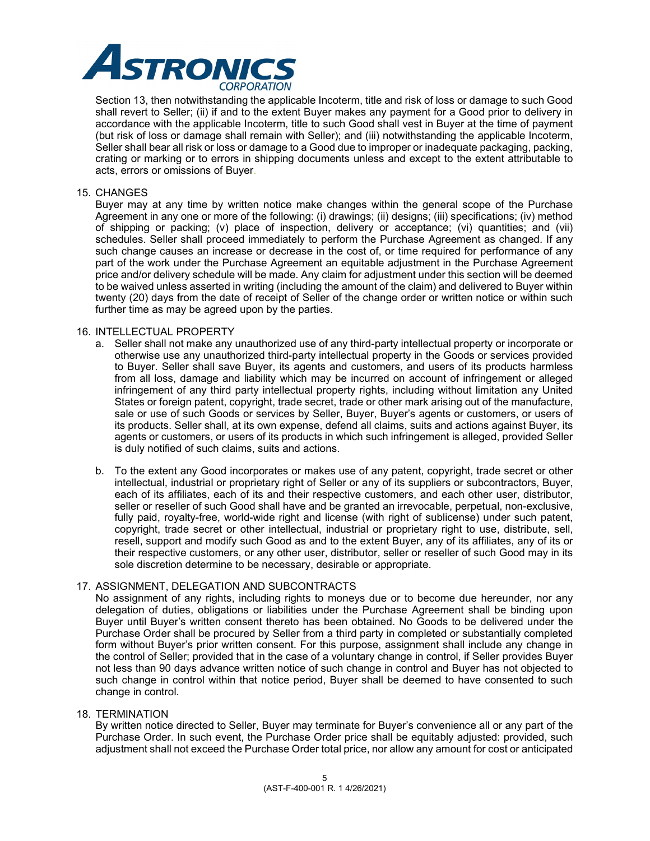

Section 13, then notwithstanding the applicable Incoterm, title and risk of loss or damage to such Good shall revert to Seller; (ii) if and to the extent Buyer makes any payment for a Good prior to delivery in accordance with the applicable Incoterm, title to such Good shall vest in Buyer at the time of payment (but risk of loss or damage shall remain with Seller); and (iii) notwithstanding the applicable Incoterm, Seller shall bear all risk or loss or damage to a Good due to improper or inadequate packaging, packing, crating or marking or to errors in shipping documents unless and except to the extent attributable to acts, errors or omissions of Buyer.

## 15. CHANGES

Buyer may at any time by written notice make changes within the general scope of the Purchase Agreement in any one or more of the following: (i) drawings; (ii) designs; (iii) specifications; (iv) method of shipping or packing; (v) place of inspection, delivery or acceptance; (vi) quantities; and (vii) schedules. Seller shall proceed immediately to perform the Purchase Agreement as changed. If any such change causes an increase or decrease in the cost of, or time required for performance of any part of the work under the Purchase Agreement an equitable adjustment in the Purchase Agreement price and/or delivery schedule will be made. Any claim for adjustment under this section will be deemed to be waived unless asserted in writing (including the amount of the claim) and delivered to Buyer within twenty (20) days from the date of receipt of Seller of the change order or written notice or within such further time as may be agreed upon by the parties.

### 16. INTELLECTUAL PROPERTY

- a. Seller shall not make any unauthorized use of any third-party intellectual property or incorporate or otherwise use any unauthorized third-party intellectual property in the Goods or services provided to Buyer. Seller shall save Buyer, its agents and customers, and users of its products harmless from all loss, damage and liability which may be incurred on account of infringement or alleged infringement of any third party intellectual property rights, including without limitation any United States or foreign patent, copyright, trade secret, trade or other mark arising out of the manufacture, sale or use of such Goods or services by Seller, Buyer, Buyer's agents or customers, or users of its products. Seller shall, at its own expense, defend all claims, suits and actions against Buyer, its agents or customers, or users of its products in which such infringement is alleged, provided Seller is duly notified of such claims, suits and actions.
- b. To the extent any Good incorporates or makes use of any patent, copyright, trade secret or other intellectual, industrial or proprietary right of Seller or any of its suppliers or subcontractors, Buyer, each of its affiliates, each of its and their respective customers, and each other user, distributor, seller or reseller of such Good shall have and be granted an irrevocable, perpetual, non-exclusive, fully paid, royalty-free, world-wide right and license (with right of sublicense) under such patent, copyright, trade secret or other intellectual, industrial or proprietary right to use, distribute, sell, resell, support and modify such Good as and to the extent Buyer, any of its affiliates, any of its or their respective customers, or any other user, distributor, seller or reseller of such Good may in its sole discretion determine to be necessary, desirable or appropriate.

## 17. ASSIGNMENT, DELEGATION AND SUBCONTRACTS

No assignment of any rights, including rights to moneys due or to become due hereunder, nor any delegation of duties, obligations or liabilities under the Purchase Agreement shall be binding upon Buyer until Buyer's written consent thereto has been obtained. No Goods to be delivered under the Purchase Order shall be procured by Seller from a third party in completed or substantially completed form without Buyer's prior written consent. For this purpose, assignment shall include any change in the control of Seller; provided that in the case of a voluntary change in control, if Seller provides Buyer not less than 90 days advance written notice of such change in control and Buyer has not objected to such change in control within that notice period, Buyer shall be deemed to have consented to such change in control.

#### 18. TERMINATION

By written notice directed to Seller, Buyer may terminate for Buyer's convenience all or any part of the Purchase Order. In such event, the Purchase Order price shall be equitably adjusted: provided, such adjustment shall not exceed the Purchase Order total price, nor allow any amount for cost or anticipated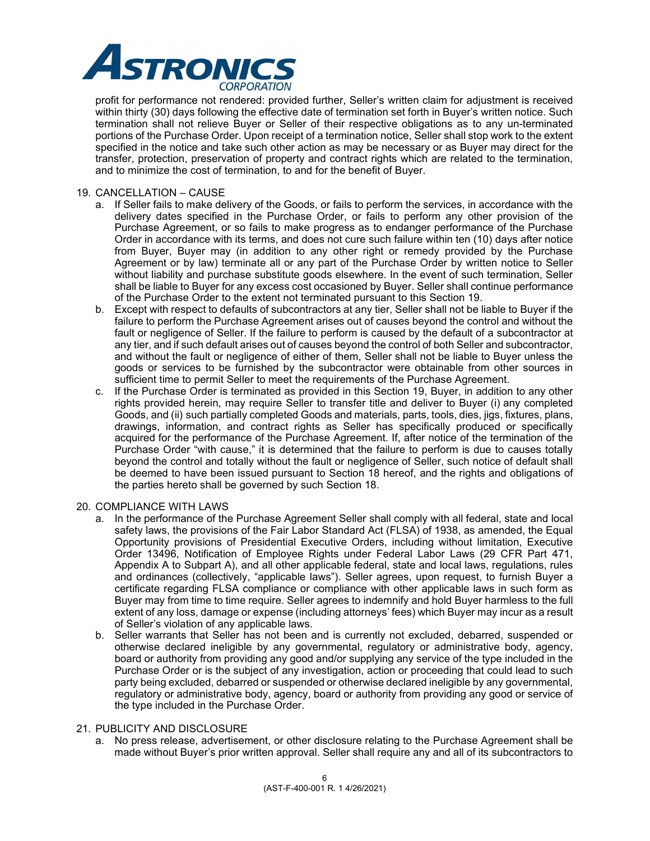

profit for performance not rendered: provided further, Seller's written claim for adjustment is received within thirty (30) days following the effective date of termination set forth in Buyer's written notice. Such termination shall not relieve Buyer or Seller of their respective obligations as to any un-terminated portions of the Purchase Order. Upon receipt of a termination notice, Seller shall stop work to the extent specified in the notice and take such other action as may be necessary or as Buyer may direct for the transfer, protection, preservation of property and contract rights which are related to the termination, and to minimize the cost of termination, to and for the benefit of Buyer.

## 19. CANCELLATION – CAUSE

- a. If Seller fails to make delivery of the Goods, or fails to perform the services, in accordance with the delivery dates specified in the Purchase Order, or fails to perform any other provision of the Purchase Agreement, or so fails to make progress as to endanger performance of the Purchase Order in accordance with its terms, and does not cure such failure within ten (10) days after notice from Buyer, Buyer may (in addition to any other right or remedy provided by the Purchase Agreement or by law) terminate all or any part of the Purchase Order by written notice to Seller without liability and purchase substitute goods elsewhere. In the event of such termination, Seller shall be liable to Buyer for any excess cost occasioned by Buyer. Seller shall continue performance of the Purchase Order to the extent not terminated pursuant to this Section 19.
- b. Except with respect to defaults of subcontractors at any tier, Seller shall not be liable to Buyer if the failure to perform the Purchase Agreement arises out of causes beyond the control and without the fault or negligence of Seller. If the failure to perform is caused by the default of a subcontractor at any tier, and if such default arises out of causes beyond the control of both Seller and subcontractor, and without the fault or negligence of either of them, Seller shall not be liable to Buyer unless the goods or services to be furnished by the subcontractor were obtainable from other sources in sufficient time to permit Seller to meet the requirements of the Purchase Agreement.
- c. If the Purchase Order is terminated as provided in this Section 19, Buyer, in addition to any other rights provided herein, may require Seller to transfer title and deliver to Buyer (i) any completed Goods, and (ii) such partially completed Goods and materials, parts, tools, dies, jigs, fixtures, plans, drawings, information, and contract rights as Seller has specifically produced or specifically acquired for the performance of the Purchase Agreement. If, after notice of the termination of the Purchase Order "with cause," it is determined that the failure to perform is due to causes totally beyond the control and totally without the fault or negligence of Seller, such notice of default shall be deemed to have been issued pursuant to Section 18 hereof, and the rights and obligations of the parties hereto shall be governed by such Section 18.

#### 20. COMPLIANCE WITH LAWS

- a. In the performance of the Purchase Agreement Seller shall comply with all federal, state and local safety laws, the provisions of the Fair Labor Standard Act (FLSA) of 1938, as amended, the Equal Opportunity provisions of Presidential Executive Orders, including without limitation, Executive Order 13496, Notification of Employee Rights under Federal Labor Laws (29 CFR Part 471, Appendix A to Subpart A), and all other applicable federal, state and local laws, regulations, rules and ordinances (collectively, "applicable laws"). Seller agrees, upon request, to furnish Buyer a certificate regarding FLSA compliance or compliance with other applicable laws in such form as Buyer may from time to time require. Seller agrees to indemnify and hold Buyer harmless to the full extent of any loss, damage or expense (including attorneys' fees) which Buyer may incur as a result of Seller's violation of any applicable laws.
- b. Seller warrants that Seller has not been and is currently not excluded, debarred, suspended or otherwise declared ineligible by any governmental, regulatory or administrative body, agency, board or authority from providing any good and/or supplying any service of the type included in the Purchase Order or is the subject of any investigation, action or proceeding that could lead to such party being excluded, debarred or suspended or otherwise declared ineligible by any governmental, regulatory or administrative body, agency, board or authority from providing any good or service of the type included in the Purchase Order.

## 21. PUBLICITY AND DISCLOSURE

a. No press release, advertisement, or other disclosure relating to the Purchase Agreement shall be made without Buyer's prior written approval. Seller shall require any and all of its subcontractors to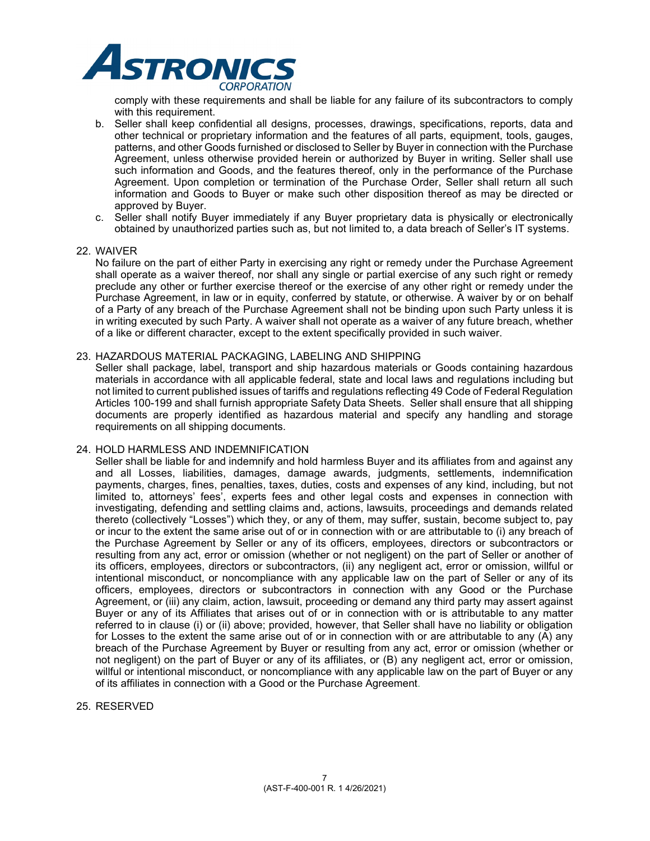

comply with these requirements and shall be liable for any failure of its subcontractors to comply with this requirement.

- b. Seller shall keep confidential all designs, processes, drawings, specifications, reports, data and other technical or proprietary information and the features of all parts, equipment, tools, gauges, patterns, and other Goods furnished or disclosed to Seller by Buyer in connection with the Purchase Agreement, unless otherwise provided herein or authorized by Buyer in writing. Seller shall use such information and Goods, and the features thereof, only in the performance of the Purchase Agreement. Upon completion or termination of the Purchase Order, Seller shall return all such information and Goods to Buyer or make such other disposition thereof as may be directed or approved by Buyer.
- c. Seller shall notify Buyer immediately if any Buyer proprietary data is physically or electronically obtained by unauthorized parties such as, but not limited to, a data breach of Seller's IT systems.

#### 22. WAIVER

No failure on the part of either Party in exercising any right or remedy under the Purchase Agreement shall operate as a waiver thereof, nor shall any single or partial exercise of any such right or remedy preclude any other or further exercise thereof or the exercise of any other right or remedy under the Purchase Agreement, in law or in equity, conferred by statute, or otherwise. A waiver by or on behalf of a Party of any breach of the Purchase Agreement shall not be binding upon such Party unless it is in writing executed by such Party. A waiver shall not operate as a waiver of any future breach, whether of a like or different character, except to the extent specifically provided in such waiver.

#### 23. HAZARDOUS MATERIAL PACKAGING, LABELING AND SHIPPING

Seller shall package, label, transport and ship hazardous materials or Goods containing hazardous materials in accordance with all applicable federal, state and local laws and regulations including but not limited to current published issues of tariffs and regulations reflecting 49 Code of Federal Regulation Articles 100-199 and shall furnish appropriate Safety Data Sheets. Seller shall ensure that all shipping documents are properly identified as hazardous material and specify any handling and storage requirements on all shipping documents.

#### 24. HOLD HARMLESS AND INDEMNIFICATION

Seller shall be liable for and indemnify and hold harmless Buyer and its affiliates from and against any and all Losses, liabilities, damages, damage awards, judgments, settlements, indemnification payments, charges, fines, penalties, taxes, duties, costs and expenses of any kind, including, but not limited to, attorneys' fees', experts fees and other legal costs and expenses in connection with investigating, defending and settling claims and, actions, lawsuits, proceedings and demands related thereto (collectively "Losses") which they, or any of them, may suffer, sustain, become subject to, pay or incur to the extent the same arise out of or in connection with or are attributable to (i) any breach of the Purchase Agreement by Seller or any of its officers, employees, directors or subcontractors or resulting from any act, error or omission (whether or not negligent) on the part of Seller or another of its officers, employees, directors or subcontractors, (ii) any negligent act, error or omission, willful or intentional misconduct, or noncompliance with any applicable law on the part of Seller or any of its officers, employees, directors or subcontractors in connection with any Good or the Purchase Agreement, or (iii) any claim, action, lawsuit, proceeding or demand any third party may assert against Buyer or any of its Affiliates that arises out of or in connection with or is attributable to any matter referred to in clause (i) or (ii) above; provided, however, that Seller shall have no liability or obligation for Losses to the extent the same arise out of or in connection with or are attributable to any (A) any breach of the Purchase Agreement by Buyer or resulting from any act, error or omission (whether or not negligent) on the part of Buyer or any of its affiliates, or (B) any negligent act, error or omission, willful or intentional misconduct, or noncompliance with any applicable law on the part of Buyer or any of its affiliates in connection with a Good or the Purchase Agreement.

25. RESERVED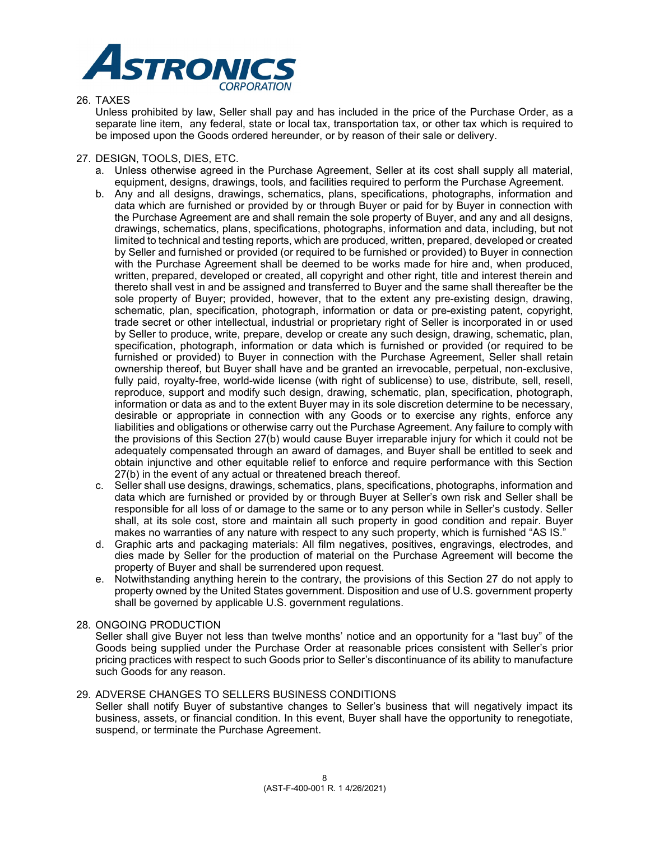

## 26. TAXES

Unless prohibited by law, Seller shall pay and has included in the price of the Purchase Order, as a separate line item, any federal, state or local tax, transportation tax, or other tax which is required to be imposed upon the Goods ordered hereunder, or by reason of their sale or delivery.

## 27. DESIGN, TOOLS, DIES, ETC.

- a. Unless otherwise agreed in the Purchase Agreement, Seller at its cost shall supply all material, equipment, designs, drawings, tools, and facilities required to perform the Purchase Agreement.
- b. Any and all designs, drawings, schematics, plans, specifications, photographs, information and data which are furnished or provided by or through Buyer or paid for by Buyer in connection with the Purchase Agreement are and shall remain the sole property of Buyer, and any and all designs, drawings, schematics, plans, specifications, photographs, information and data, including, but not limited to technical and testing reports, which are produced, written, prepared, developed or created by Seller and furnished or provided (or required to be furnished or provided) to Buyer in connection with the Purchase Agreement shall be deemed to be works made for hire and, when produced, written, prepared, developed or created, all copyright and other right, title and interest therein and thereto shall vest in and be assigned and transferred to Buyer and the same shall thereafter be the sole property of Buyer; provided, however, that to the extent any pre-existing design, drawing, schematic, plan, specification, photograph, information or data or pre-existing patent, copyright, trade secret or other intellectual, industrial or proprietary right of Seller is incorporated in or used by Seller to produce, write, prepare, develop or create any such design, drawing, schematic, plan, specification, photograph, information or data which is furnished or provided (or required to be furnished or provided) to Buyer in connection with the Purchase Agreement, Seller shall retain ownership thereof, but Buyer shall have and be granted an irrevocable, perpetual, non-exclusive, fully paid, royalty-free, world-wide license (with right of sublicense) to use, distribute, sell, resell, reproduce, support and modify such design, drawing, schematic, plan, specification, photograph, information or data as and to the extent Buyer may in its sole discretion determine to be necessary, desirable or appropriate in connection with any Goods or to exercise any rights, enforce any liabilities and obligations or otherwise carry out the Purchase Agreement. Any failure to comply with the provisions of this Section 27(b) would cause Buyer irreparable injury for which it could not be adequately compensated through an award of damages, and Buyer shall be entitled to seek and obtain injunctive and other equitable relief to enforce and require performance with this Section 27(b) in the event of any actual or threatened breach thereof.
- c. Seller shall use designs, drawings, schematics, plans, specifications, photographs, information and data which are furnished or provided by or through Buyer at Seller's own risk and Seller shall be responsible for all loss of or damage to the same or to any person while in Seller's custody. Seller shall, at its sole cost, store and maintain all such property in good condition and repair. Buyer makes no warranties of any nature with respect to any such property, which is furnished "AS IS."
- d. Graphic arts and packaging materials: All film negatives, positives, engravings, electrodes, and dies made by Seller for the production of material on the Purchase Agreement will become the property of Buyer and shall be surrendered upon request.
- e. Notwithstanding anything herein to the contrary, the provisions of this Section 27 do not apply to property owned by the United States government. Disposition and use of U.S. government property shall be governed by applicable U.S. government regulations.

## 28. ONGOING PRODUCTION

Seller shall give Buyer not less than twelve months' notice and an opportunity for a "last buy" of the Goods being supplied under the Purchase Order at reasonable prices consistent with Seller's prior pricing practices with respect to such Goods prior to Seller's discontinuance of its ability to manufacture such Goods for any reason.

## 29. ADVERSE CHANGES TO SELLERS BUSINESS CONDITIONS

Seller shall notify Buyer of substantive changes to Seller's business that will negatively impact its business, assets, or financial condition. In this event, Buyer shall have the opportunity to renegotiate, suspend, or terminate the Purchase Agreement.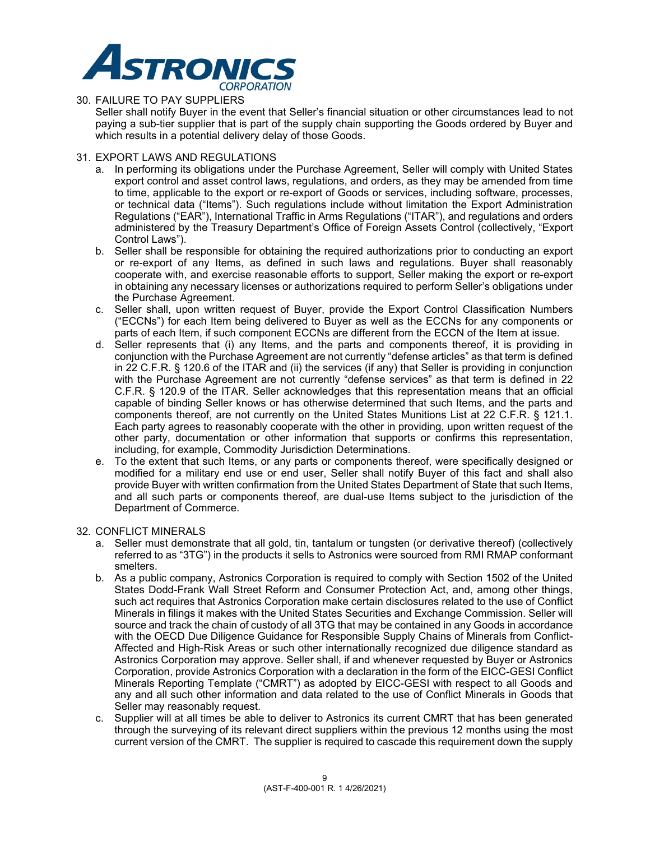

## 30. FAILURE TO PAY SUPPLIERS

Seller shall notify Buyer in the event that Seller's financial situation or other circumstances lead to not paying a sub-tier supplier that is part of the supply chain supporting the Goods ordered by Buyer and which results in a potential delivery delay of those Goods.

## 31. EXPORT LAWS AND REGULATIONS

- a. In performing its obligations under the Purchase Agreement, Seller will comply with United States export control and asset control laws, regulations, and orders, as they may be amended from time to time, applicable to the export or re-export of Goods or services, including software, processes, or technical data ("Items"). Such regulations include without limitation the Export Administration Regulations ("EAR"), International Traffic in Arms Regulations ("ITAR"), and regulations and orders administered by the Treasury Department's Office of Foreign Assets Control (collectively, "Export Control Laws").
- b. Seller shall be responsible for obtaining the required authorizations prior to conducting an export or re-export of any Items, as defined in such laws and regulations. Buyer shall reasonably cooperate with, and exercise reasonable efforts to support, Seller making the export or re-export in obtaining any necessary licenses or authorizations required to perform Seller's obligations under the Purchase Agreement.
- c. Seller shall, upon written request of Buyer, provide the Export Control Classification Numbers ("ECCNs") for each Item being delivered to Buyer as well as the ECCNs for any components or parts of each Item, if such component ECCNs are different from the ECCN of the Item at issue.
- d. Seller represents that (i) any Items, and the parts and components thereof, it is providing in conjunction with the Purchase Agreement are not currently "defense articles" as that term is defined in 22 C.F.R. § 120.6 of the ITAR and (ii) the services (if any) that Seller is providing in conjunction with the Purchase Agreement are not currently "defense services" as that term is defined in 22 C.F.R. § 120.9 of the ITAR. Seller acknowledges that this representation means that an official capable of binding Seller knows or has otherwise determined that such Items, and the parts and components thereof, are not currently on the United States Munitions List at 22 C.F.R. § 121.1. Each party agrees to reasonably cooperate with the other in providing, upon written request of the other party, documentation or other information that supports or confirms this representation, including, for example, Commodity Jurisdiction Determinations.
- e. To the extent that such Items, or any parts or components thereof, were specifically designed or modified for a military end use or end user, Seller shall notify Buyer of this fact and shall also provide Buyer with written confirmation from the United States Department of State that such Items, and all such parts or components thereof, are dual-use Items subject to the jurisdiction of the Department of Commerce.

## 32. CONFLICT MINERALS

- a. Seller must demonstrate that all gold, tin, tantalum or tungsten (or derivative thereof) (collectively referred to as "3TG") in the products it sells to Astronics were sourced from RMI RMAP conformant smelters.
- b. As a public company, Astronics Corporation is required to comply with Section 1502 of the United States Dodd-Frank Wall Street Reform and Consumer Protection Act, and, among other things, such act requires that Astronics Corporation make certain disclosures related to the use of Conflict Minerals in filings it makes with the United States Securities and Exchange Commission. Seller will source and track the chain of custody of all 3TG that may be contained in any Goods in accordance with the OECD Due Diligence Guidance for Responsible Supply Chains of Minerals from Conflict-Affected and High-Risk Areas or such other internationally recognized due diligence standard as Astronics Corporation may approve. Seller shall, if and whenever requested by Buyer or Astronics Corporation, provide Astronics Corporation with a declaration in the form of the EICC-GESI Conflict Minerals Reporting Template ("CMRT") as adopted by EICC-GESI with respect to all Goods and any and all such other information and data related to the use of Conflict Minerals in Goods that Seller may reasonably request.
- c. Supplier will at all times be able to deliver to Astronics its current CMRT that has been generated through the surveying of its relevant direct suppliers within the previous 12 months using the most current version of the CMRT. The supplier is required to cascade this requirement down the supply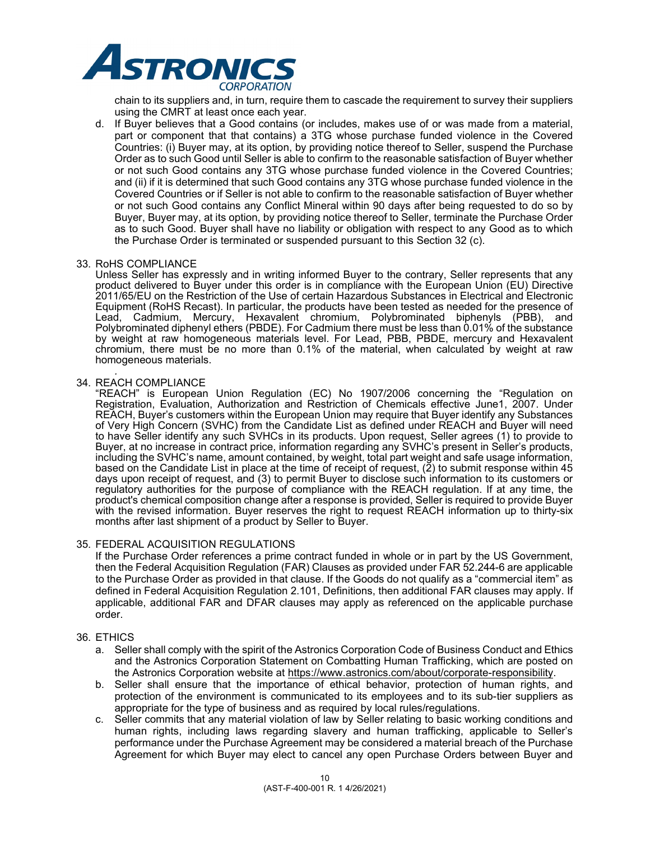

chain to its suppliers and, in turn, require them to cascade the requirement to survey their suppliers using the CMRT at least once each year.

d. If Buyer believes that a Good contains (or includes, makes use of or was made from a material, part or component that that contains) a 3TG whose purchase funded violence in the Covered Countries: (i) Buyer may, at its option, by providing notice thereof to Seller, suspend the Purchase Order as to such Good until Seller is able to confirm to the reasonable satisfaction of Buyer whether or not such Good contains any 3TG whose purchase funded violence in the Covered Countries; and (ii) if it is determined that such Good contains any 3TG whose purchase funded violence in the Covered Countries or if Seller is not able to confirm to the reasonable satisfaction of Buyer whether or not such Good contains any Conflict Mineral within 90 days after being requested to do so by Buyer, Buyer may, at its option, by providing notice thereof to Seller, terminate the Purchase Order as to such Good. Buyer shall have no liability or obligation with respect to any Good as to which the Purchase Order is terminated or suspended pursuant to this Section 32 (c).

### 33. RoHS COMPLIANCE

Unless Seller has expressly and in writing informed Buyer to the contrary, Seller represents that any product delivered to Buyer under this order is in compliance with the European Union (EU) Directive 2011/65/EU on the Restriction of the Use of certain Hazardous Substances in Electrical and Electronic Equipment (RoHS Recast). In particular, the products have been tested as needed for the presence of Lead, Cadmium, Mercury, Hexavalent chromium, Polybrominated biphenyls (PBB), and Polybrominated diphenyl ethers (PBDE). For Cadmium there must be less than 0.01% of the substance by weight at raw homogeneous materials level. For Lead, PBB, PBDE, mercury and Hexavalent chromium, there must be no more than 0.1% of the material, when calculated by weight at raw homogeneous materials.

#### *.*  34. REACH COMPLIANCE

"REACH" is European Union Regulation (EC) No 1907/2006 concerning the "Regulation on Registration, Evaluation, Authorization and Restriction of Chemicals effective June1, 2007. Under REACH, Buyer's customers within the European Union may require that Buyer identify any Substances of Very High Concern (SVHC) from the Candidate List as defined under REACH and Buyer will need to have Seller identify any such SVHCs in its products. Upon request, Seller agrees (1) to provide to Buyer, at no increase in contract price, information regarding any SVHC's present in Seller's products, including the SVHC's name, amount contained, by weight, total part weight and safe usage information, based on the Candidate List in place at the time of receipt of request, (2) to submit response within 45 days upon receipt of request, and (3) to permit Buyer to disclose such information to its customers or regulatory authorities for the purpose of compliance with the REACH regulation. If at any time, the product's chemical composition change after a response is provided, Seller is required to provide Buyer with the revised information. Buyer reserves the right to request REACH information up to thirty-six months after last shipment of a product by Seller to Buyer.

## 35. FEDERAL ACQUISITION REGULATIONS

If the Purchase Order references a prime contract funded in whole or in part by the US Government, then the Federal Acquisition Regulation (FAR) Clauses as provided under FAR 52.244-6 are applicable to the Purchase Order as provided in that clause. If the Goods do not qualify as a "commercial item" as defined in Federal Acquisition Regulation 2.101, Definitions, then additional FAR clauses may apply. If applicable, additional FAR and DFAR clauses may apply as referenced on the applicable purchase order.

## 36. ETHICS

- a. Seller shall comply with the spirit of the Astronics Corporation Code of Business Conduct and Ethics and the Astronics Corporation Statement on Combatting Human Trafficking, which are posted on the Astronics Corporation website at https://www.astronics.com/about/corporate-responsibility.
- b. Seller shall ensure that the importance of ethical behavior, protection of human rights, and protection of the environment is communicated to its employees and to its sub-tier suppliers as appropriate for the type of business and as required by local rules/regulations.
- c. Seller commits that any material violation of law by Seller relating to basic working conditions and human rights, including laws regarding slavery and human trafficking, applicable to Seller's performance under the Purchase Agreement may be considered a material breach of the Purchase Agreement for which Buyer may elect to cancel any open Purchase Orders between Buyer and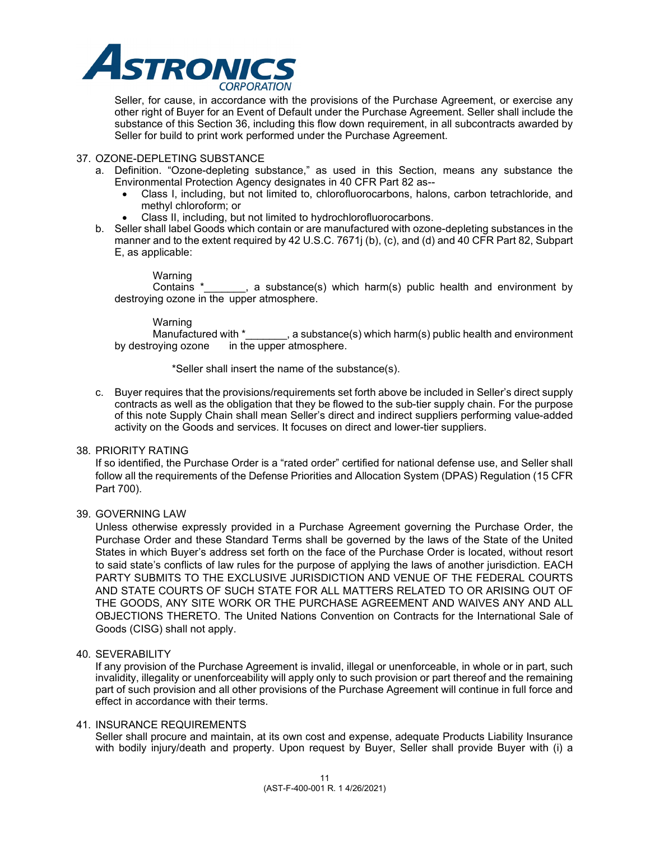

Seller, for cause, in accordance with the provisions of the Purchase Agreement, or exercise any other right of Buyer for an Event of Default under the Purchase Agreement. Seller shall include the substance of this Section 36, including this flow down requirement, in all subcontracts awarded by Seller for build to print work performed under the Purchase Agreement.

## 37. OZONE-DEPLETING SUBSTANCE

- a. Definition. "Ozone-depleting substance," as used in this Section, means any substance the Environmental Protection Agency designates in 40 CFR Part 82 as--
	- Class I, including, but not limited to, chlorofluorocarbons, halons, carbon tetrachloride, and methyl chloroform; or
	- Class II, including, but not limited to hydrochlorofluorocarbons.
- b. Seller shall label Goods which contain or are manufactured with ozone-depleting substances in the manner and to the extent required by 42 U.S.C. 7671j (b), (c), and (d) and 40 CFR Part 82, Subpart E, as applicable:

Warning<br>Contains \* , a substance(s) which harm(s) public health and environment by destroying ozone in the upper atmosphere.

Warning<br>Manufactured with \* Manufactured with  $*$ \_\_\_\_\_, a substance(s) which harm(s) public health and environment by destroying ozone in the upper atmosphere. in the upper atmosphere.

\*Seller shall insert the name of the substance(s).

c. Buyer requires that the provisions/requirements set forth above be included in Seller's direct supply contracts as well as the obligation that they be flowed to the sub-tier supply chain. For the purpose of this note Supply Chain shall mean Seller's direct and indirect suppliers performing value-added activity on the Goods and services. It focuses on direct and lower-tier suppliers.

## 38. PRIORITY RATING

If so identified, the Purchase Order is a "rated order" certified for national defense use, and Seller shall follow all the requirements of the Defense Priorities and Allocation System (DPAS) Regulation (15 CFR Part 700).

## 39. GOVERNING LAW

Unless otherwise expressly provided in a Purchase Agreement governing the Purchase Order, the Purchase Order and these Standard Terms shall be governed by the laws of the State of the United States in which Buyer's address set forth on the face of the Purchase Order is located, without resort to said state's conflicts of law rules for the purpose of applying the laws of another jurisdiction. EACH PARTY SUBMITS TO THE EXCLUSIVE JURISDICTION AND VENUE OF THE FEDERAL COURTS AND STATE COURTS OF SUCH STATE FOR ALL MATTERS RELATED TO OR ARISING OUT OF THE GOODS, ANY SITE WORK OR THE PURCHASE AGREEMENT AND WAIVES ANY AND ALL OBJECTIONS THERETO. The United Nations Convention on Contracts for the International Sale of Goods (CISG) shall not apply.

## 40. SEVERABILITY

If any provision of the Purchase Agreement is invalid, illegal or unenforceable, in whole or in part, such invalidity, illegality or unenforceability will apply only to such provision or part thereof and the remaining part of such provision and all other provisions of the Purchase Agreement will continue in full force and effect in accordance with their terms.

## 41. INSURANCE REQUIREMENTS

Seller shall procure and maintain, at its own cost and expense, adequate Products Liability Insurance with bodily injury/death and property. Upon request by Buyer, Seller shall provide Buyer with (i) a